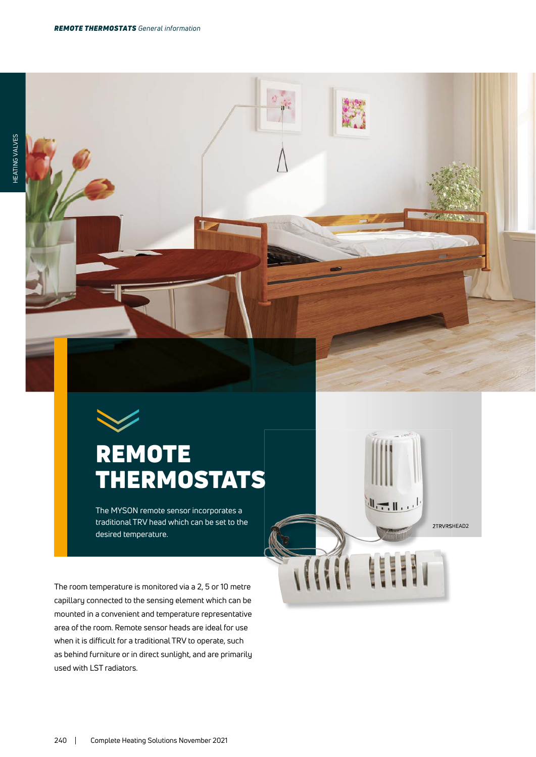

## **REMOTE** THERMOSTATS

Τ

The MYSON remote sensor incorporates a traditional TRV head which can be set to the desired temperature.

2TRVRSHEAD2

 $\mathbb{L}$ 

115.938 E

The room temperature is monitored via a 2, 5 or 10 metre capillary connected to the sensing element which can be mounted in a convenient and temperature representative area of the room. Remote sensor heads are ideal for use when it is difficult for a traditional TRV to operate, such as behind furniture or in direct sunlight, and are primarily used with LST radiators.